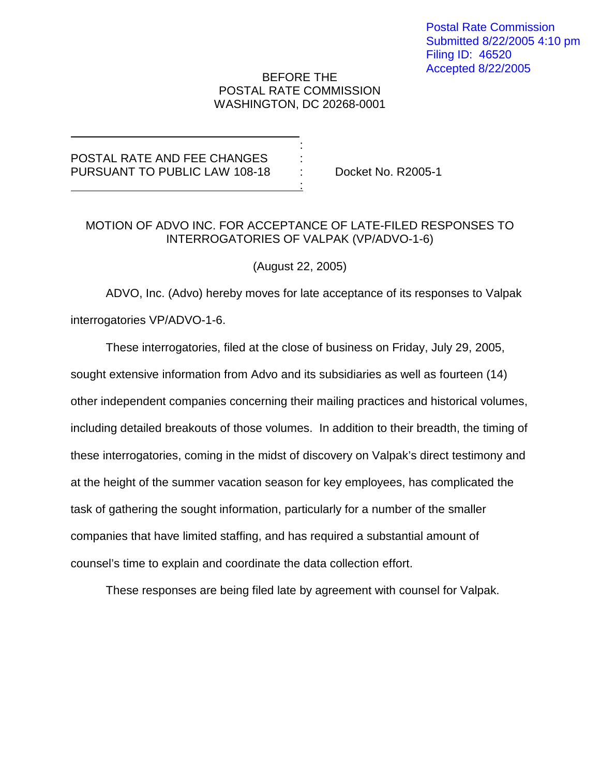## BEFORE THE POSTAL RATE COMMISSION WASHINGTON, DC 20268-0001

:

## POSTAL RATE AND FEE CHANGES PURSUANT TO PUBLIC LAW 108-18 : Docket No. R2005-1 <u>: 1990 : 1990 : 1990 : 1990 : 1990 : 1990 : 1990 : 1990 : 1990 : 1990 : 1990 : 1990 : 1990 : 1990 : 1990 : 19</u>

## MOTION OF ADVO INC. FOR ACCEPTANCE OF LATE-FILED RESPONSES TO INTERROGATORIES OF VALPAK (VP/ADVO-1-6)

(August 22, 2005)

ADVO, Inc. (Advo) hereby moves for late acceptance of its responses to Valpak interrogatories VP/ADVO-1-6.

These interrogatories, filed at the close of business on Friday, July 29, 2005,

sought extensive information from Advo and its subsidiaries as well as fourteen (14) other independent companies concerning their mailing practices and historical volumes, including detailed breakouts of those volumes. In addition to their breadth, the timing of these interrogatories, coming in the midst of discovery on Valpak's direct testimony and at the height of the summer vacation season for key employees, has complicated the task of gathering the sought information, particularly for a number of the smaller companies that have limited staffing, and has required a substantial amount of counsel's time to explain and coordinate the data collection effort.

These responses are being filed late by agreement with counsel for Valpak.